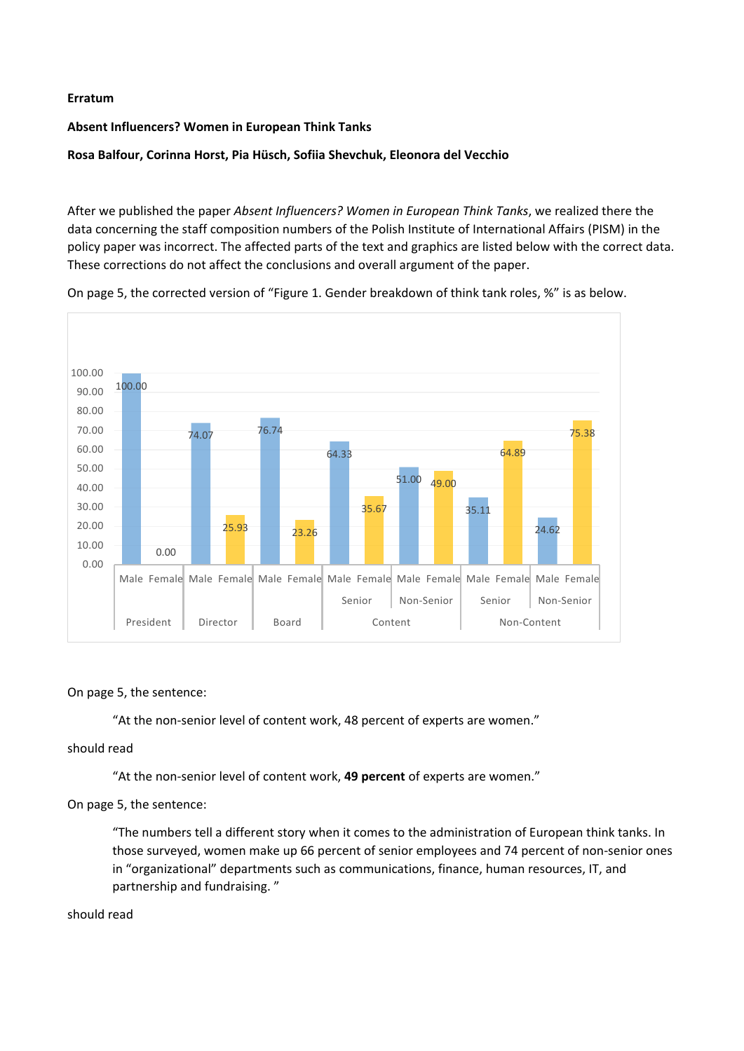### **Erratum**

## **Absent Influencers? Women in European Think Tanks**

# **Rosa Balfour, Corinna Horst, Pia Hüsch, Sofiia Shevchuk, Eleonora del Vecchio**

After we published the paper *Absent Influencers? Women in European Think Tanks*, we realized there the data concerning the staff composition numbers of the Polish Institute of International Affairs (PISM) in the policy paper was incorrect. The affected parts of the text and graphics are listed below with the correct data. These corrections do not affect the conclusions and overall argument of the paper.



On page 5, the corrected version of "Figure 1. Gender breakdown of think tank roles, %" is as below.

### On page 5, the sentence:

"At the non-senior level of content work, 48 percent of experts are women."

### should read

"At the non-senior level of content work, **49 percent** of experts are women."

### On page 5, the sentence:

"The numbers tell a different story when it comes to the administration of European think tanks. In those surveyed, women make up 66 percent of senior employees and 74 percent of non-senior ones in "organizational" departments such as communications, finance, human resources, IT, and partnership and fundraising. "

#### should read